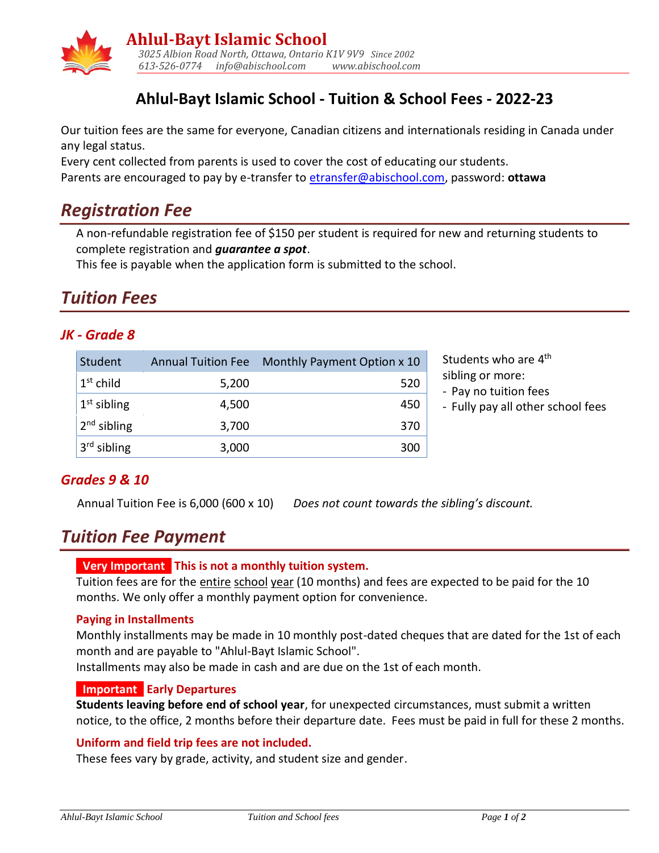

## **Ahlul-Bayt Islamic School - Tuition & School Fees - 2022-23**

Our tuition fees are the same for everyone, Canadian citizens and internationals residing in Canada under any legal status.

Every cent collected from parents is used to cover the cost of educating our students. Parents are encouraged to pay by e-transfer to [etransfer@abischool.com,](mailto:etransfer@abischool.com) password: **ottawa**

## *Registration Fee*

A non-refundable registration fee of \$150 per student is required for new and returning students to complete registration and *guarantee a spot*.

This fee is payable when the application form is submitted to the school.

# *Tuition Fees*

### *JK - Grade 8*

| Student                 |       | Annual Tuition Fee Monthly Payment Option x 10 | Students who are 4 <sup>th</sup>          |
|-------------------------|-------|------------------------------------------------|-------------------------------------------|
| $1st$ child             | 5,200 | 520                                            | sibling or more:<br>- Pay no tuition fees |
| $1st$ sibling           | 4,500 | 450                                            | - Fully pay all other s                   |
| $2nd$ sibling           | 3,700 | 370                                            |                                           |
| 3 <sup>rd</sup> sibling | 3,000 | 300                                            |                                           |

sibling or more:

- Pay no tuition fees
- Fully pay all other school fees

### *Grades 9 & 10*

Annual Tuition Fee is 6,000 (600 x 10) *Does not count towards the sibling's discount.*

## *Tuition Fee Payment*

#### **. Very Important . This is not a monthly tuition system.**

Tuition fees are for the entire school year (10 months) and fees are expected to be paid for the 10 months. We only offer a monthly payment option for convenience.

#### **Paying in Installments**

Monthly installments may be made in 10 monthly post-dated cheques that are dated for the 1st of each month and are payable to "Ahlul-Bayt Islamic School".

Installments may also be made in cash and are due on the 1st of each month.

#### **. Important . Early Departures**

**Students leaving before end of school year**, for unexpected circumstances, must submit a written notice, to the office, 2 months before their departure date. Fees must be paid in full for these 2 months.

#### **Uniform and field trip fees are not included.**

These fees vary by grade, activity, and student size and gender.